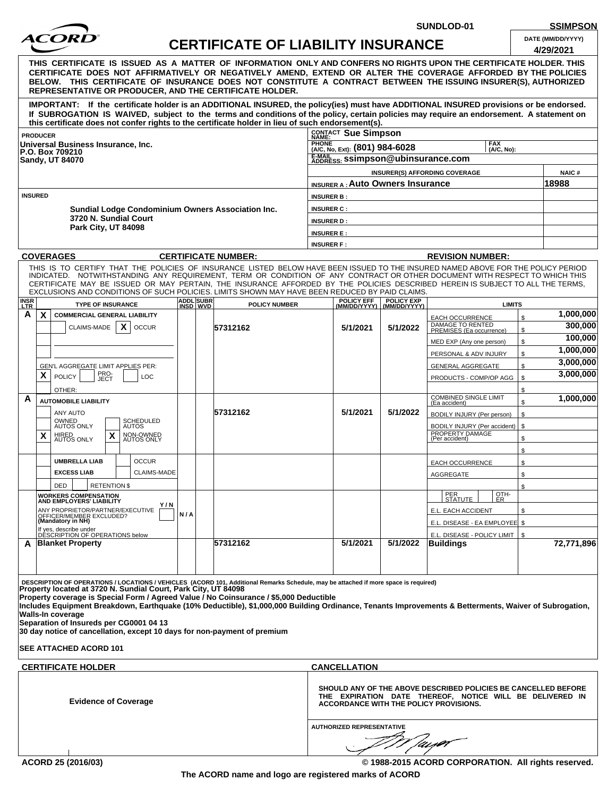

**SUNDLOD-01 SSIMPSON**

| DATE (MM/DD/YYYY) |  |
|-------------------|--|
|                   |  |

| ACOKD                                                                                                                                                                                                                                                                                                                                                                                                                                                                                              |                       | <b>CERTIFICATE OF LIABILITY INSURANCE</b> |                                                                            |                                                    |                                                                                                                            | DATE (MM/DD/YYYY)<br>4/29/2021 |  |
|----------------------------------------------------------------------------------------------------------------------------------------------------------------------------------------------------------------------------------------------------------------------------------------------------------------------------------------------------------------------------------------------------------------------------------------------------------------------------------------------------|-----------------------|-------------------------------------------|----------------------------------------------------------------------------|----------------------------------------------------|----------------------------------------------------------------------------------------------------------------------------|--------------------------------|--|
| THIS CERTIFICATE IS ISSUED AS A MATTER OF INFORMATION ONLY AND CONFERS NO RIGHTS UPON THE CERTIFICATE HOLDER. THIS<br>CERTIFICATE DOES NOT AFFIRMATIVELY OR NEGATIVELY AMEND, EXTEND OR ALTER THE COVERAGE AFFORDED BY THE POLICIES<br>BELOW. THIS CERTIFICATE OF INSURANCE DOES NOT CONSTITUTE A CONTRACT BETWEEN THE ISSUING INSURER(S), AUTHORIZED<br><b>REPRESENTATIVE OR PRODUCER, AND THE CERTIFICATE HOLDER.</b>                                                                            |                       |                                           |                                                                            |                                                    |                                                                                                                            |                                |  |
| IMPORTANT: If the certificate holder is an ADDITIONAL INSURED, the policy(ies) must have ADDITIONAL INSURED provisions or be endorsed.<br>If SUBROGATION IS WAIVED, subject to the terms and conditions of the policy, certain policies may require an endorsement. A statement on<br>this certificate does not confer rights to the certificate holder in lieu of such endorsement(s).                                                                                                            |                       |                                           |                                                                            |                                                    |                                                                                                                            |                                |  |
| <b>PRODUCER</b>                                                                                                                                                                                                                                                                                                                                                                                                                                                                                    |                       |                                           | CONTACT Sue Simpson                                                        |                                                    |                                                                                                                            |                                |  |
| Universal Business Insurance, Inc.<br>P.O. Box 709210<br><b>Sandy, UT 84070</b>                                                                                                                                                                                                                                                                                                                                                                                                                    |                       |                                           | <b>PHONE</b><br><b>FAX</b><br>(A/C, No, Ext): (801) 984-6028<br>(A/C, No): |                                                    |                                                                                                                            |                                |  |
|                                                                                                                                                                                                                                                                                                                                                                                                                                                                                                    |                       |                                           | E-MAIL ss: Ssimpson@ubinsurance.com                                        |                                                    |                                                                                                                            |                                |  |
|                                                                                                                                                                                                                                                                                                                                                                                                                                                                                                    |                       |                                           |                                                                            |                                                    | <b>INSURER(S) AFFORDING COVERAGE</b>                                                                                       | <b>NAIC#</b>                   |  |
|                                                                                                                                                                                                                                                                                                                                                                                                                                                                                                    |                       |                                           | <b>INSURER A : Auto Owners Insurance</b>                                   |                                                    |                                                                                                                            | 18988                          |  |
| <b>INSURED</b>                                                                                                                                                                                                                                                                                                                                                                                                                                                                                     |                       |                                           | <b>INSURER B:</b>                                                          |                                                    |                                                                                                                            |                                |  |
| Sundial Lodge Condominium Owners Association Inc.                                                                                                                                                                                                                                                                                                                                                                                                                                                  |                       |                                           | <b>INSURER C:</b>                                                          |                                                    |                                                                                                                            |                                |  |
| 3720 N. Sundial Court                                                                                                                                                                                                                                                                                                                                                                                                                                                                              |                       |                                           | <b>INSURER D:</b>                                                          |                                                    |                                                                                                                            |                                |  |
| Park City, UT 84098                                                                                                                                                                                                                                                                                                                                                                                                                                                                                |                       |                                           | <b>INSURER E:</b>                                                          |                                                    |                                                                                                                            |                                |  |
|                                                                                                                                                                                                                                                                                                                                                                                                                                                                                                    |                       |                                           | <b>INSURER F:</b>                                                          |                                                    |                                                                                                                            |                                |  |
| <b>COVERAGES</b>                                                                                                                                                                                                                                                                                                                                                                                                                                                                                   |                       | <b>CERTIFICATE NUMBER:</b>                |                                                                            |                                                    | <b>REVISION NUMBER:</b>                                                                                                    |                                |  |
| THIS IS TO CERTIFY THAT THE POLICIES OF INSURANCE LISTED BELOW HAVE BEEN ISSUED TO THE INSURED NAMED ABOVE FOR THE POLICY PERIOD<br>INDICATED. NOTWITHSTANDING ANY REQUIREMENT, TERM OR CONDITION OF ANY CONTRACT OR OTHER DOCUMENT WITH RESPECT TO WHICH THIS<br>CERTIFICATE MAY BE ISSUED OR MAY PERTAIN, THE INSURANCE AFFORDED BY THE POLICIES DESCRIBED HEREIN IS SUBJECT TO ALL THE TERMS,<br>EXCLUSIONS AND CONDITIONS OF SUCH POLICIES. LIMITS SHOWN MAY HAVE BEEN REDUCED BY PAID CLAIMS. |                       |                                           |                                                                            |                                                    |                                                                                                                            |                                |  |
| <b>INSR</b><br>LTR<br><b>TYPE OF INSURANCE</b>                                                                                                                                                                                                                                                                                                                                                                                                                                                     | ADDL SUBR<br>INSD WVD | <b>POLICY NUMBER</b>                      |                                                                            | POLICY EFF POLICY EXP<br>(MM/DD/YYYY) (MM/DD/YYYY) | <b>LIMITS</b>                                                                                                              |                                |  |
| A<br>$\boldsymbol{\mathsf{x}}$<br><b>COMMERCIAL GENERAL LIABILITY</b>                                                                                                                                                                                                                                                                                                                                                                                                                              |                       |                                           |                                                                            |                                                    | <b>EACH OCCURRENCE</b>                                                                                                     | 1,000,000<br>\$<br>300,000     |  |
| $\boldsymbol{\mathsf{x}}$<br>CLAIMS-MADE<br><b>OCCUR</b>                                                                                                                                                                                                                                                                                                                                                                                                                                           |                       | 57312162                                  | 5/1/2021                                                                   | 5/1/2022                                           | DAMAGE TO RENTED<br>PREMISES (Ea occurrence)                                                                               | \$<br>100,000                  |  |
|                                                                                                                                                                                                                                                                                                                                                                                                                                                                                                    |                       |                                           |                                                                            |                                                    | MED EXP (Any one person)                                                                                                   | \$<br>1,000,000                |  |
|                                                                                                                                                                                                                                                                                                                                                                                                                                                                                                    |                       |                                           |                                                                            |                                                    | PERSONAL & ADV INJURY                                                                                                      | \$<br>3,000,000                |  |
| GEN'L AGGREGATE LIMIT APPLIES PER:<br>PRO-<br>JECT<br>X<br><b>POLICY</b><br>LOC                                                                                                                                                                                                                                                                                                                                                                                                                    |                       |                                           |                                                                            |                                                    | <b>GENERAL AGGREGATE</b>                                                                                                   | \$<br>3,000,000                |  |
|                                                                                                                                                                                                                                                                                                                                                                                                                                                                                                    |                       |                                           |                                                                            |                                                    | PRODUCTS - COMP/OP AGG                                                                                                     | \$<br>\$                       |  |
| OTHER:<br>A<br><b>AUTOMOBILE LIABILITY</b>                                                                                                                                                                                                                                                                                                                                                                                                                                                         |                       |                                           |                                                                            |                                                    | <b>COMBINED SINGLE LIMIT</b>                                                                                               | 1,000,000<br>\$                |  |
| ANY AUTO                                                                                                                                                                                                                                                                                                                                                                                                                                                                                           |                       | 57312162                                  | 5/1/2021                                                                   | 5/1/2022                                           | (Ea accident)<br>BODILY INJURY (Per person)                                                                                | \$                             |  |
| OWNED<br>AUTOS ONLY<br>SCHEDULED<br>AUTOS                                                                                                                                                                                                                                                                                                                                                                                                                                                          |                       |                                           |                                                                            |                                                    | BODILY INJURY (Per accident)                                                                                               | \$                             |  |
| HIRED<br>AUTOS ONLY<br>X<br>X<br>NON-OWNED<br>AUTOS ONLY                                                                                                                                                                                                                                                                                                                                                                                                                                           |                       |                                           |                                                                            |                                                    | PROPERTY DAMAGE<br>(Per accident)                                                                                          | \$                             |  |
|                                                                                                                                                                                                                                                                                                                                                                                                                                                                                                    |                       |                                           |                                                                            |                                                    |                                                                                                                            | \$                             |  |
| <b>OCCUR</b><br><b>UMBRELLA LIAB</b>                                                                                                                                                                                                                                                                                                                                                                                                                                                               |                       |                                           |                                                                            |                                                    | <b>EACH OCCURRENCE</b>                                                                                                     | \$                             |  |
| <b>EXCESS LIAB</b><br><b>CLAIMS-MADE</b>                                                                                                                                                                                                                                                                                                                                                                                                                                                           |                       |                                           |                                                                            |                                                    | AGGREGATE                                                                                                                  | \$                             |  |
| <b>RETENTION \$</b><br><b>DED</b>                                                                                                                                                                                                                                                                                                                                                                                                                                                                  |                       |                                           |                                                                            |                                                    | OTH-                                                                                                                       | \$                             |  |
| <b>WORKERS COMPENSATION</b><br><b>AND EMPLOYERS' LIABILITY</b><br>Y/N                                                                                                                                                                                                                                                                                                                                                                                                                              |                       |                                           |                                                                            |                                                    | PER<br>STATUTE<br>ER                                                                                                       |                                |  |
| ANY PROPRIETOR/PARTNER/EXECUTIVE<br>OFFICER/MEMBER EXCLUDED?<br>(Mandatory in NH)                                                                                                                                                                                                                                                                                                                                                                                                                  | N/A                   |                                           |                                                                            |                                                    | E.L. EACH ACCIDENT                                                                                                         | \$                             |  |
| If yes, describe under                                                                                                                                                                                                                                                                                                                                                                                                                                                                             |                       |                                           |                                                                            |                                                    | E.L. DISEASE - EA EMPLOYEE \$                                                                                              |                                |  |
| DESCRIPTION OF OPERATIONS below<br><b>Blanket Property</b><br>A                                                                                                                                                                                                                                                                                                                                                                                                                                    |                       | 57312162                                  | 5/1/2021                                                                   | 5/1/2022                                           | E.L. DISEASE - POLICY LIMIT  <br>Buildings                                                                                 | S.<br>72,771,896               |  |
|                                                                                                                                                                                                                                                                                                                                                                                                                                                                                                    |                       |                                           |                                                                            |                                                    |                                                                                                                            |                                |  |
|                                                                                                                                                                                                                                                                                                                                                                                                                                                                                                    |                       |                                           |                                                                            |                                                    |                                                                                                                            |                                |  |
| DESCRIPTION OF OPERATIONS / LOCATIONS / VEHICLES (ACORD 101, Additional Remarks Schedule, may be attached if more space is required)<br>Property located at 3720 N. Sundial Court, Park City, UT 84098                                                                                                                                                                                                                                                                                             |                       |                                           |                                                                            |                                                    |                                                                                                                            |                                |  |
| Property coverage is Special Form / Agreed Value / No Coinsurance / \$5,000 Deductible<br>Includes Equipment Breakdown, Earthquake (10% Deductible), \$1,000,000 Building Ordinance, Tenants Improvements & Betterments, Waiver of Subrogation,<br><b>Walls-In coverage</b><br>Separation of Insureds per CG0001 04 13<br>30 day notice of cancellation, except 10 days for non-payment of premium                                                                                                 |                       |                                           |                                                                            |                                                    |                                                                                                                            |                                |  |
| <b>SEE ATTACHED ACORD 101</b>                                                                                                                                                                                                                                                                                                                                                                                                                                                                      |                       |                                           |                                                                            |                                                    |                                                                                                                            |                                |  |
| <b>CERTIFICATE HOLDER</b>                                                                                                                                                                                                                                                                                                                                                                                                                                                                          |                       |                                           | <b>CANCELLATION</b>                                                        |                                                    |                                                                                                                            |                                |  |
| <b>Evidence of Coverage</b>                                                                                                                                                                                                                                                                                                                                                                                                                                                                        |                       |                                           | ACCORDANCE WITH THE POLICY PROVISIONS.                                     |                                                    | SHOULD ANY OF THE ABOVE DESCRIBED POLICIES BE CANCELLED BEFORE<br>THE EXPIRATION DATE THEREOF, NOTICE WILL BE DELIVERED IN |                                |  |

**AUTHORIZED REPRESENTATIVE**

Ń

**ACORD 25 (2016/03) © 1988-2015 ACORD CORPORATION. All rights reserved.**

'ai